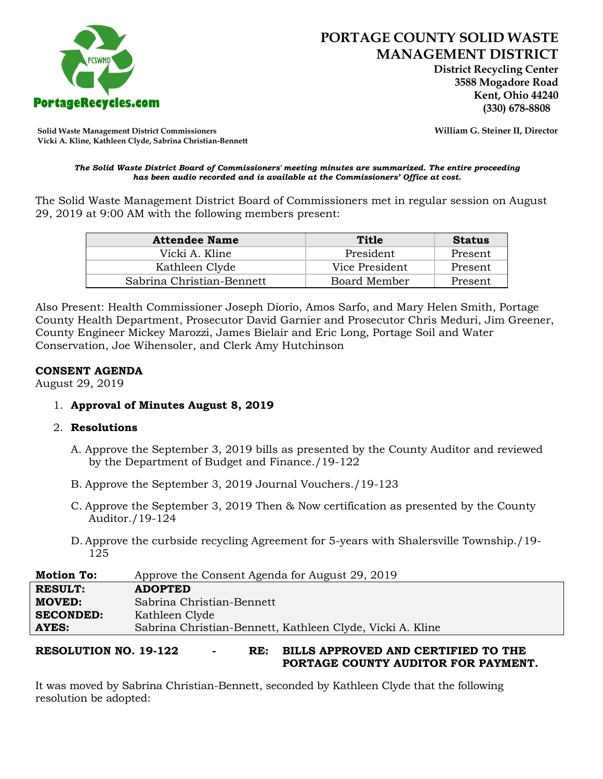

 **District Recycling Center 3588 Mogadore Road Kent, Ohio 44240**

**Solid Waste Management District Commissioners William G. Steiner II, Director Vicki A. Kline, Kathleen Clyde, Sabrina Christian-Bennett** 

#### *The Solid Waste District Board of Commissioners' meeting minutes are summarized. The entire proceeding has been audio recorded and is available at the Commissioners' Office at cost.*

The Solid Waste Management District Board of Commissioners met in regular session on August 29, 2019 at 9:00 AM with the following members present:

| <b>Attendee Name</b>      | Title          | <b>Status</b> |
|---------------------------|----------------|---------------|
| Vicki A. Kline            | President      | Present       |
| Kathleen Clyde            | Vice President | Present       |
| Sabrina Christian-Bennett | Board Member   | Present       |

Also Present: Health Commissioner Joseph Diorio, Amos Sarfo, and Mary Helen Smith, Portage County Health Department, Prosecutor David Garnier and Prosecutor Chris Meduri, Jim Greener, County Engineer Mickey Marozzi, James Bielair and Eric Long, Portage Soil and Water Conservation, Joe Wihensoler, and Clerk Amy Hutchinson

## **CONSENT AGENDA**

August 29, 2019

1. **Approval of Minutes August 8, 2019**

## 2. **Resolutions**

- A. Approve the September 3, 2019 bills as presented by the County Auditor and reviewed by the Department of Budget and Finance./19-122
- B. Approve the September 3, 2019 Journal Vouchers./19-123
- C. Approve the September 3, 2019 Then & Now certification as presented by the County Auditor./19-124
- D. Approve the curbside recycling Agreement for 5-years with Shalersville Township./19- 125

| <b>Motion To:</b> | Approve the Consent Agenda for August 29, 2019            |  |
|-------------------|-----------------------------------------------------------|--|
| <b>RESULT:</b>    | <b>ADOPTED</b>                                            |  |
| <b>MOVED:</b>     | Sabrina Christian-Bennett                                 |  |
| <b>SECONDED:</b>  | Kathleen Clyde                                            |  |
| <b>AYES:</b>      | Sabrina Christian-Bennett, Kathleen Clyde, Vicki A. Kline |  |
|                   |                                                           |  |

# **RESOLUTION NO. 19-122 - RE: BILLS APPROVED AND CERTIFIED TO THE PORTAGE COUNTY AUDITOR FOR PAYMENT.**

It was moved by Sabrina Christian-Bennett, seconded by Kathleen Clyde that the following resolution be adopted: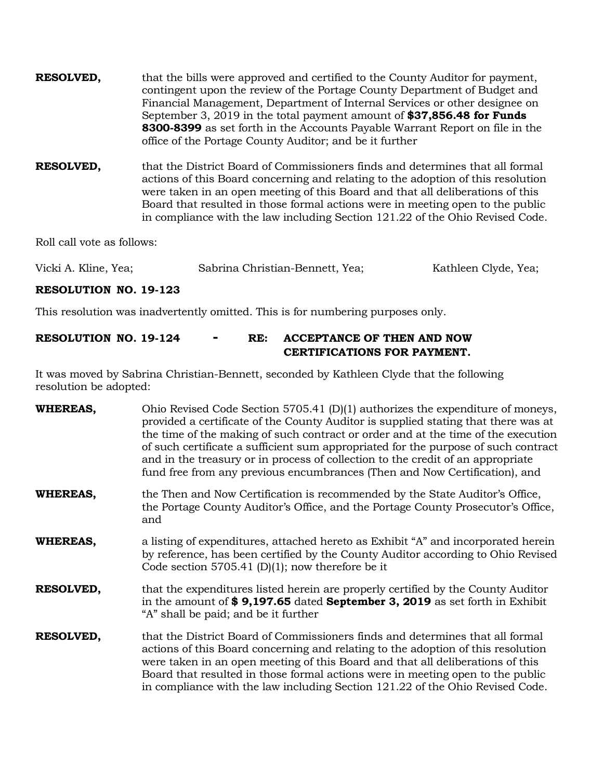| <b>RESOLVED,</b> | that the bills were approved and certified to the County Auditor for payment, |
|------------------|-------------------------------------------------------------------------------|
|                  | contingent upon the review of the Portage County Department of Budget and     |
|                  | Financial Management, Department of Internal Services or other designee on    |
|                  | September 3, 2019 in the total payment amount of \$37,856.48 for Funds        |
|                  | 8300-8399 as set forth in the Accounts Payable Warrant Report on file in the  |
|                  | office of the Portage County Auditor; and be it further                       |

**RESOLVED,** that the District Board of Commissioners finds and determines that all formal actions of this Board concerning and relating to the adoption of this resolution were taken in an open meeting of this Board and that all deliberations of this Board that resulted in those formal actions were in meeting open to the public in compliance with the law including Section 121.22 of the Ohio Revised Code.

Roll call vote as follows:

| Vicki A. Kline, Yea; | Sabrina Christian-Bennett, Yea; | Kathleen Clyde, Yea; |
|----------------------|---------------------------------|----------------------|
|----------------------|---------------------------------|----------------------|

### **RESOLUTION NO. 19-123**

This resolution was inadvertently omitted. This is for numbering purposes only.

## **RESOLUTION NO. 19-124 - RE: ACCEPTANCE OF THEN AND NOW CERTIFICATIONS FOR PAYMENT.**

It was moved by Sabrina Christian-Bennett, seconded by Kathleen Clyde that the following resolution be adopted:

| WHEREAS,         | Ohio Revised Code Section 5705.41 $(D)(1)$ authorizes the expenditure of moneys,<br>provided a certificate of the County Auditor is supplied stating that there was at<br>the time of the making of such contract or order and at the time of the execution<br>of such certificate a sufficient sum appropriated for the purpose of such contract<br>and in the treasury or in process of collection to the credit of an appropriate<br>fund free from any previous encumbrances (Then and Now Certification), and |  |
|------------------|--------------------------------------------------------------------------------------------------------------------------------------------------------------------------------------------------------------------------------------------------------------------------------------------------------------------------------------------------------------------------------------------------------------------------------------------------------------------------------------------------------------------|--|
| WHEREAS,         | the Then and Now Certification is recommended by the State Auditor's Office,<br>the Portage County Auditor's Office, and the Portage County Prosecutor's Office,<br>and                                                                                                                                                                                                                                                                                                                                            |  |
| WHEREAS,         | a listing of expenditures, attached hereto as Exhibit "A" and incorporated herein<br>by reference, has been certified by the County Auditor according to Ohio Revised<br>Code section 5705.41 (D)(1); now therefore be it                                                                                                                                                                                                                                                                                          |  |
| <b>RESOLVED,</b> | that the expenditures listed herein are properly certified by the County Auditor<br>in the amount of \$9,197.65 dated September 3, 2019 as set forth in Exhibit<br>"A" shall be paid; and be it further                                                                                                                                                                                                                                                                                                            |  |
| <b>RESOLVED,</b> | that the District Board of Commissioners finds and determines that all formal<br>actions of this Board concerning and relating to the adoption of this resolution<br>were taken in an open meeting of this Board and that all deliberations of this<br>Board that resulted in those formal actions were in meeting open to the public<br>in compliance with the law including Section 121.22 of the Ohio Revised Code.                                                                                             |  |